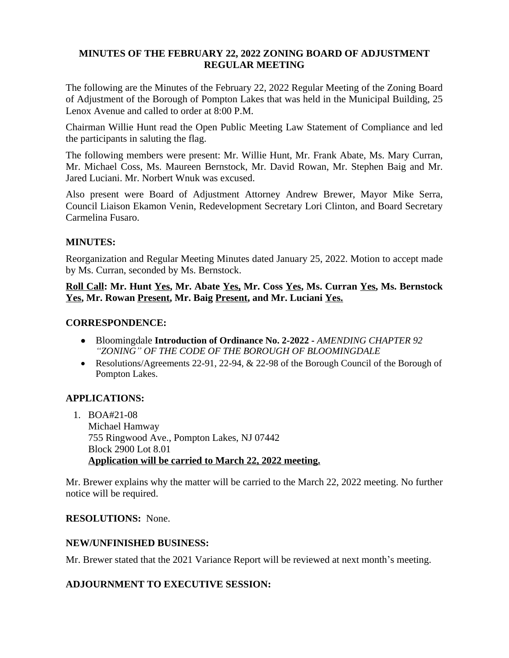#### **MINUTES OF THE FEBRUARY 22, 2022 ZONING BOARD OF ADJUSTMENT REGULAR MEETING**

The following are the Minutes of the February 22, 2022 Regular Meeting of the Zoning Board of Adjustment of the Borough of Pompton Lakes that was held in the Municipal Building, 25 Lenox Avenue and called to order at 8:00 P.M.

Chairman Willie Hunt read the Open Public Meeting Law Statement of Compliance and led the participants in saluting the flag.

The following members were present: Mr. Willie Hunt, Mr. Frank Abate, Ms. Mary Curran, Mr. Michael Coss, Ms. Maureen Bernstock, Mr. David Rowan, Mr. Stephen Baig and Mr. Jared Luciani. Mr. Norbert Wnuk was excused.

Also present were Board of Adjustment Attorney Andrew Brewer, Mayor Mike Serra, Council Liaison Ekamon Venin, Redevelopment Secretary Lori Clinton, and Board Secretary Carmelina Fusaro.

## **MINUTES:**

Reorganization and Regular Meeting Minutes dated January 25, 2022. Motion to accept made by Ms. Curran, seconded by Ms. Bernstock.

**Roll Call: Mr. Hunt Yes, Mr. Abate Yes, Mr. Coss Yes, Ms. Curran Yes, Ms. Bernstock Yes, Mr. Rowan Present, Mr. Baig Present, and Mr. Luciani Yes.**

## **CORRESPONDENCE:**

- Bloomingdale **Introduction of Ordinance No. 2-2022** *AMENDING CHAPTER 92 "ZONING" OF THE CODE OF THE BOROUGH OF BLOOMINGDALE*
- Resolutions/Agreements 22-91, 22-94, & 22-98 of the Borough Council of the Borough of Pompton Lakes.

# **APPLICATIONS:**

1. BOA#21-08 Michael Hamway 755 Ringwood Ave., Pompton Lakes, NJ 07442 Block 2900 Lot 8.01 **Application will be carried to March 22, 2022 meeting.**

Mr. Brewer explains why the matter will be carried to the March 22, 2022 meeting. No further notice will be required.

## **RESOLUTIONS:** None.

## **NEW/UNFINISHED BUSINESS:**

Mr. Brewer stated that the 2021 Variance Report will be reviewed at next month's meeting.

## **ADJOURNMENT TO EXECUTIVE SESSION:**